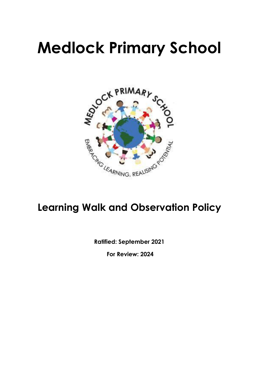# **Medlock Primary School**



# **Learning Walk and Observation Policy**

**Ratified: September 2021**

**For Review: 2024**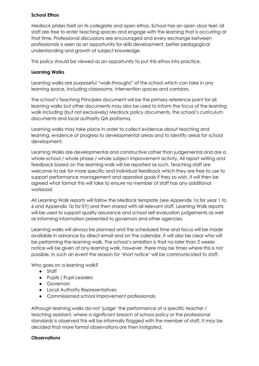#### **School Ethos**

Medlock prides itself on its collegiate and open ethos. School has an open door feel: all staff are free to enter teaching spaces and engage with the learning that is occurring at that time. Professional discussions are encouraged and every exchange between professionals is seen as an opportunity for skills development, better pedagogical understanding and growth of subject knowledge.

This policy should be viewed as an opportunity to put this ethos into practice.

#### **Learning Walks**

Learning walks are purposeful "walk-throughs" of the school which can take in any learning space, including classrooms, intervention spaces and corridors.

The school's Teaching Principles document will be the primary reference point for all learning walks but other documents may also be used to inform the focus of the learning walk including (but not exclusively) Medlock policy documents, the school's curriculum documents and local authority QA proforma.

Learning walks may take place in order to collect evidence about teaching and learning, evidence of progress to developmental areas and to identify areas for school development.

Learning Walks are developmental and constructive rather than judgemental and are a whole-school / whole phase / whole subject improvement activity. All report writing and feedback based on the learning walk will be reported as such. Teaching staff are welcome to ask for more specific and individual feedback which they are free to use to support performance management and appraisal goals if they so wish. It will then be agreed what format this will take to ensure no member of staff has any additional workload.

All Learning Walk reports will follow the Medlock template (see Appendix 1a for year 1 to 6 and Appendix 1b for EY) and then shared with all relevant staff. Learning Walk reports will be used to support quality assurance and school self evaluation judgements as well as informing information presented to governors and other agencies.

Learning walks will always be planned and the scheduled time and focus will be made available in advance by direct email and on the calendar. It will also be clear who will be performing the learning walk. The school's ambition is that no later than 2 weeks notice will be given of any learning walk, however, there may be times where this is not possible. In such an event the reason for 'short notice' will be communicated to staff.

Who goes on a learning walk?

- Staff
- Pupils / Pupil Leaders
- Governors
- Local Authority Representatives
- Commissioned school improvement professionals.

Although learning walks do not 'judge' the performance of a specific teacher / teaching assistant, where a significant breach of school policy or the professional standards is observed this will be informally flagged with the member of staff. It may be decided that more formal observations are then instigated.

#### **Observations**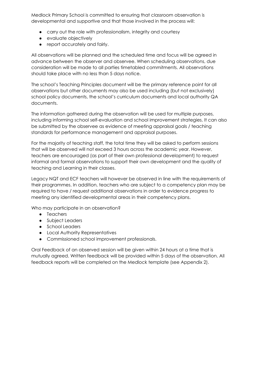Medlock Primary School is committed to ensuring that classroom observation is developmental and supportive and that those involved in the process will:

- carry out the role with professionalism, integrity and courtesy
- evaluate objectively
- report accurately and fairly.

All observations will be planned and the scheduled time and focus will be agreed in advance between the observer and observee. When scheduling observations, due consideration will be made to all parties timetabled commitments. All observations should take place with no less than 5 days notice.

The school's Teaching Principles document will be the primary reference point for all observations but other documents may also be used including (but not exclusively) school policy documents, the school's curriculum documents and local authority QA documents.

The information gathered during the observation will be used for multiple purposes, including informing school self-evaluation and school improvement strategies. It can also be submitted by the observee as evidence of meeting appraisal goals / teaching standards for performance management and appraisal purposes.

For the majority of teaching staff, the total time they will be asked to perform sessions that will be observed will not exceed 3 hours across the academic year. However, teachers are encouraged (as part of their own professional development) to request informal and formal observations to support their own development and the quality of teaching and Learning in their classes.

Legacy NQT and ECF teachers will however be observed in line with the requirements of their programmes. In addition, teachers who are subject to a competency plan may be required to have / request additional observations in order to evidence progress to meeting any identified developmental areas in their competency plans.

Who may participate in an observation?

- Teachers
- Subject Leaders
- School Leaders
- Local Authority Representatives
- Commissioned school improvement professionals.

Oral Feedback of an observed session will be given within 24 hours at a time that is mutually agreed. Written feedback will be provided within 5 days of the observation. All feedback reports will be completed on the Medlock template (see Appendix 2).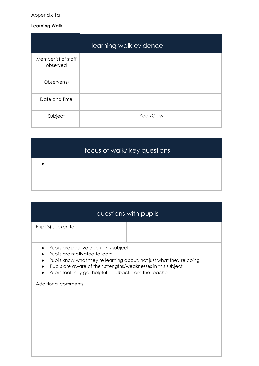#### Appendix 1a

#### **Learning Walk**

| learning walk evidence         |  |            |  |
|--------------------------------|--|------------|--|
| Member(s) of staff<br>observed |  |            |  |
| Observer(s)                    |  |            |  |
| Date and time                  |  |            |  |
| Subject                        |  | Year/Class |  |

|           | focus of walk/key questions |
|-----------|-----------------------------|
| $\bullet$ |                             |
|           |                             |

|                    | questions with pupils |
|--------------------|-----------------------|
| Pupil(s) spoken to |                       |

- Pupils are positive about this subject
- Pupils are motivated to learn
- Pupils know what they're learning about, not just what they're doing
- Pupils are aware of their strengths/weaknesses in this subject
- Pupils feel they get helpful feedback from the teacher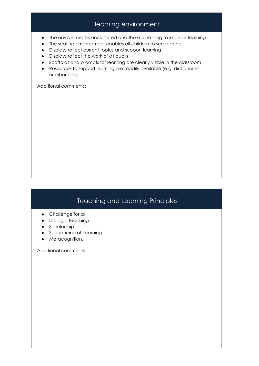# learning environment

- The environment is uncluttered and there is nothing to impede learning
- The seating arrangement enables all children to see teacher
- Displays reflect current topics and support learning
- Displays reflect the work of all pupils
- Scaffolds and prompts for learning are clearly visible in the classroom
- Resources to support learning are readily available (e.g. dictionaries, number lines)

Additional comments:

# Teaching and Learning Principles

- Challenge for all
- Dialogic teaching
- Scholarship
- Sequencing of Learning
- Metacognition.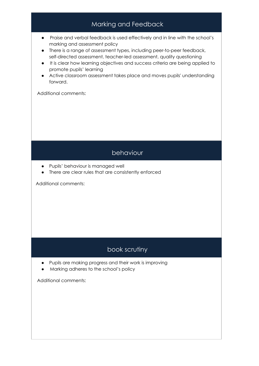

# book scrutiny

- Pupils are making progress and their work is improving
- Marking adheres to the school's policy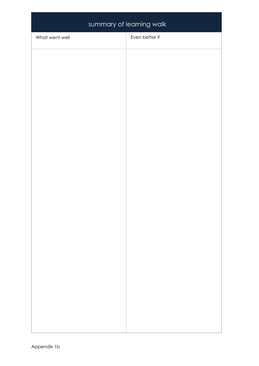| summary of learning walk |                |  |  |
|--------------------------|----------------|--|--|
| What went well           | Even better if |  |  |
|                          |                |  |  |
|                          |                |  |  |
|                          |                |  |  |
|                          |                |  |  |
|                          |                |  |  |
|                          |                |  |  |
|                          |                |  |  |
|                          |                |  |  |
|                          |                |  |  |
|                          |                |  |  |
|                          |                |  |  |
|                          |                |  |  |
|                          |                |  |  |
|                          |                |  |  |
|                          |                |  |  |
|                          |                |  |  |
|                          |                |  |  |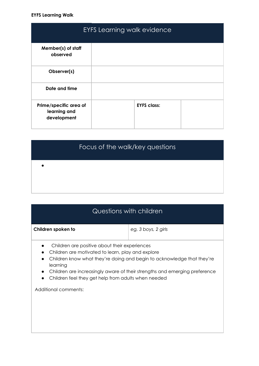#### **EYFS Learning Walk**

| <b>EYFS Learning walk evidence</b>                    |                    |  |
|-------------------------------------------------------|--------------------|--|
| Member(s) of staff<br>observed                        |                    |  |
| Observer(s)                                           |                    |  |
| Date and time                                         |                    |  |
| Prime/specific area of<br>learning and<br>development | <b>EYFS class:</b> |  |

| Focus of the walk/key questions |
|---------------------------------|
|                                 |

| Questions with children                                                                                                                                                                                                                                                                                                                                              |                     |  |
|----------------------------------------------------------------------------------------------------------------------------------------------------------------------------------------------------------------------------------------------------------------------------------------------------------------------------------------------------------------------|---------------------|--|
| Children spoken to                                                                                                                                                                                                                                                                                                                                                   | eg, 3 boys, 2 girls |  |
| Children are positive about their experiences<br>Children are motivated to learn, play and explore<br>Children know what they're doing and begin to acknowledge that they're<br>$\bullet$<br>learning<br>Children are increasingly aware of their strengths and emerging preference<br>$\bullet$<br>Children feel they get help from adults when needed<br>$\bullet$ |                     |  |
| Additional comments:                                                                                                                                                                                                                                                                                                                                                 |                     |  |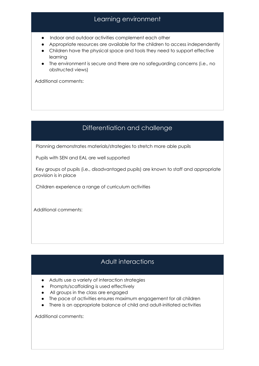# Learning environment

- Indoor and outdoor activities complement each other
- Appropriate resources are available for the children to access independently
- Children have the physical space and tools they need to support effective learning
- The environment is secure and there are no safeguarding concerns (i.e., no obstructed views)

Additional comments:

# Differentiation and challenge

Planning demonstrates materials/strategies to stretch more able pupils

Pupils with SEN and EAL are well supported

Key groups of pupils (i.e., disadvantaged pupils) are known to staff and appropriate provision is in place

Children experience a range of curriculum activities

Additional comments:

# Adult interactions

- Adults use a variety of interaction strategies
- Prompts/scaffolding is used effectively
- All groups in the class are engaged
- The pace of activities ensures maximum engagement for all children
- There is an appropriate balance of child and adult-initiated activities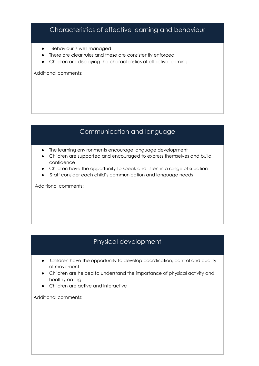# Characteristics of effective learning and behaviour

- Behaviour is well managed
- There are clear rules and these are consistently enforced
- Children are displaying the characteristics of effective learning

Additional comments:

### Communication and language

- The learning environments encourage language development
- Children are supported and encouraged to express themselves and build confidence
- Children have the opportunity to speak and listen in a range of situation
- Staff consider each child's communication and language needs

Additional comments:

## Physical development

- Children have the opportunity to develop coordination, control and quality of movement
- Children are helped to understand the importance of physical activity and healthy eating
- Children are active and interactive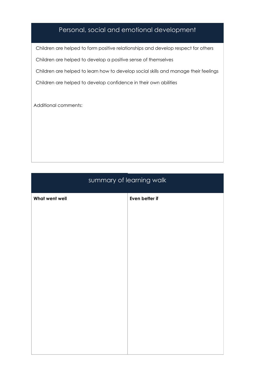# Personal, social and emotional development

Children are helped to form positive relationships and develop respect for others Children are helped to develop a positive sense of themselves Children are helped to learn how to develop social skills and manage their feelings Children are helped to develop confidence in their own abilities

Additional comments:

# summary of learning walk **What went well Even better if**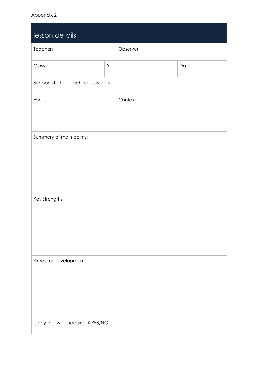| lesson details                        |       |           |       |
|---------------------------------------|-------|-----------|-------|
| Teacher:                              |       | Observer: |       |
| Class:                                | Year: |           | Date: |
| Support staff or teaching assistants: |       |           |       |
| Focus:                                |       | Context:  |       |
| Summary of main points:               |       |           |       |
| Key strengths:                        |       |           |       |
| Areas for development:                |       |           |       |
| Is any follow-up required? YES/NO     |       |           |       |